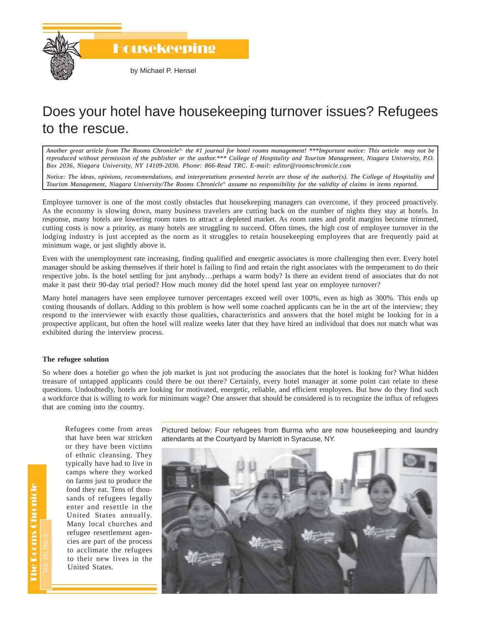

Housekeeping

by Michael P. Hensel

# Does your hotel have housekeeping turnover issues? Refugees to the rescue.

*Another great article from The Rooms Chronicle*®*, the #1 journal for hotel rooms management! \*\*\*Important notice: This article may not be reproduced without permission of the publisher or the author.\*\*\* College of Hospitality and Tourism Management, Niagara University, P.O. Box 2036, Niagara University, NY 14109-2036. Phone: 866-Read TRC. E-mail: editor@roomschronicle.com*

*Notice: The ideas, opinions, recommendations, and interpretations presented herein are those of the author(s). The College of Hospitality and Tourism Management, Niagara University/The Rooms Chronicle*® *assume no responsibility for the validity of claims in items reported.*

Employee turnover is one of the most costly obstacles that housekeeping managers can overcome, if they proceed proactively. As the economy is slowing down, many business travelers are cutting back on the number of nights they stay at hotels. In response, many hotels are lowering room rates to attract a depleted market. As room rates and profit margins become trimmed, cutting costs is now a priority, as many hotels are struggling to succeed. Often times, the high cost of employee turnover in the lodging industry is just accepted as the norm as it struggles to retain housekeeping employees that are frequently paid at minimum wage, or just slightly above it.

Even with the unemployment rate increasing, finding qualified and energetic associates is more challenging then ever. Every hotel manager should be asking themselves if their hotel is failing to find and retain the right associates with the temperament to do their respective jobs. Is the hotel settling for just anybody…perhaps a warm body? Is there an evident trend of associates that do not make it past their 90-day trial period? How much money did the hotel spend last year on employee turnover?

Many hotel managers have seen employee turnover percentages exceed well over 100%, even as high as 300%. This ends up costing thousands of dollars. Adding to this problem is how well some coached applicants can be in the art of the interview; they respond to the interviewer with exactly those qualities, characteristics and answers that the hotel might be looking for in a prospective applicant, but often the hotel will realize weeks later that they have hired an individual that does not match what was exhibited during the interview process.

### **The refugee solution**

So where does a hotelier go when the job market is just not producing the associates that the hotel is looking for? What hidden treasure of untapped applicants could there be out there? Certainly, every hotel manager at some point can relate to these questions. Undoubtedly, hotels are looking for motivated, energetic, reliable, and efficient employees. But how do they find such a workforce that is willing to work for minimum wage? One answer that should be considered is to recognize the influx of refugees that are coming into the country.

Refugees come from areas that have been war stricken or they have been victims of ethnic cleansing. They typically have had to live in camps where they worked on farms just to produce the food they eat. Tens of thousands of refugees legally enter and resettle in the United States annually. Many local churches and refugee resettlement agencies are part of the process to acclimate the refugees to their new lives in the United States.

Pictured below: Four refugees from Burma who are now housekeeping and laundry attendants at the Courtyard by Marriott in Syracuse, NY.

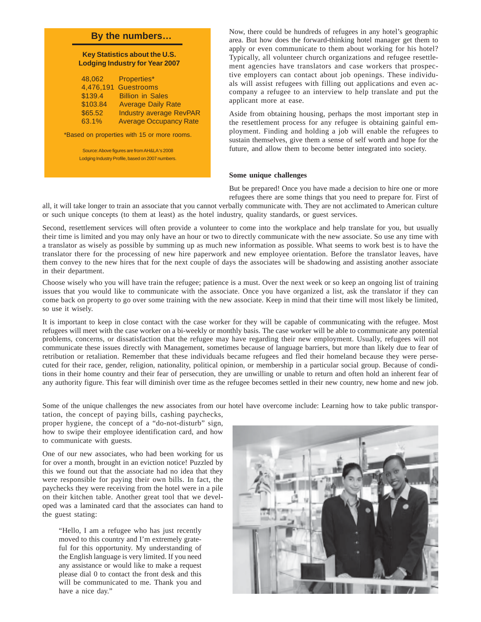## **By the numbers…**

#### **Key Statistics about the U.S. Lodging Industry for Year 2007**

| 48.062   | Properties*                    |
|----------|--------------------------------|
|          | 4,476,191 Guestrooms           |
| \$139.4  | <b>Billion in Sales</b>        |
| \$103.84 | <b>Average Daily Rate</b>      |
| \$65.52  | <b>Industry average RevPAR</b> |
| 63.1%    | <b>Average Occupancy Rate</b>  |

\*Based on properties with 15 or more rooms.

Source: Above figures are from AH&LA's 2008 Lodging Industry Profile, based on 2007 numbers. Now, there could be hundreds of refugees in any hotel's geographic area. But how does the forward-thinking hotel manager get them to apply or even communicate to them about working for his hotel? Typically, all volunteer church organizations and refugee resettlement agencies have translators and case workers that prospective employers can contact about job openings. These individuals will assist refugees with filling out applications and even accompany a refugee to an interview to help translate and put the applicant more at ease.

Aside from obtaining housing, perhaps the most important step in the resettlement process for any refugee is obtaining gainful employment. Finding and holding a job will enable the refugees to sustain themselves, give them a sense of self worth and hope for the future, and allow them to become better integrated into society.

#### **Some unique challenges**

But be prepared! Once you have made a decision to hire one or more refugees there are some things that you need to prepare for. First of

all, it will take longer to train an associate that you cannot verbally communicate with. They are not acclimated to American culture or such unique concepts (to them at least) as the hotel industry, quality standards, or guest services.

Second, resettlement services will often provide a volunteer to come into the workplace and help translate for you, but usually their time is limited and you may only have an hour or two to directly communicate with the new associate. So use any time with a translator as wisely as possible by summing up as much new information as possible. What seems to work best is to have the translator there for the processing of new hire paperwork and new employee orientation. Before the translator leaves, have them convey to the new hires that for the next couple of days the associates will be shadowing and assisting another associate in their department.

Choose wisely who you will have train the refugee; patience is a must. Over the next week or so keep an ongoing list of training issues that you would like to communicate with the associate. Once you have organized a list, ask the translator if they can come back on property to go over some training with the new associate. Keep in mind that their time will most likely be limited, so use it wisely.

It is important to keep in close contact with the case worker for they will be capable of communicating with the refugee. Most refugees will meet with the case worker on a bi-weekly or monthly basis. The case worker will be able to communicate any potential problems, concerns, or dissatisfaction that the refugee may have regarding their new employment. Usually, refugees will not communicate these issues directly with Management, sometimes because of language barriers, but more than likely due to fear of retribution or retaliation. Remember that these individuals became refugees and fled their homeland because they were persecuted for their race, gender, religion, nationality, political opinion, or membership in a particular social group. Because of conditions in their home country and their fear of persecution, they are unwilling or unable to return and often hold an inherent fear of any authority figure. This fear will diminish over time as the refugee becomes settled in their new country, new home and new job.

Some of the unique challenges the new associates from our hotel have overcome include: Learning how to take public transpor-

tation, the concept of paying bills, cashing paychecks, proper hygiene, the concept of a "do-not-disturb" sign, how to swipe their employee identification card, and how to communicate with guests.

One of our new associates, who had been working for us for over a month, brought in an eviction notice! Puzzled by this we found out that the associate had no idea that they were responsible for paying their own bills. In fact, the paychecks they were receiving from the hotel were in a pile on their kitchen table. Another great tool that we developed was a laminated card that the associates can hand to the guest stating:

"Hello, I am a refugee who has just recently moved to this country and I'm extremely grateful for this opportunity. My understanding of the English language is very limited. If you need any assistance or would like to make a request please dial 0 to contact the front desk and this will be communicated to me. Thank you and have a nice day."